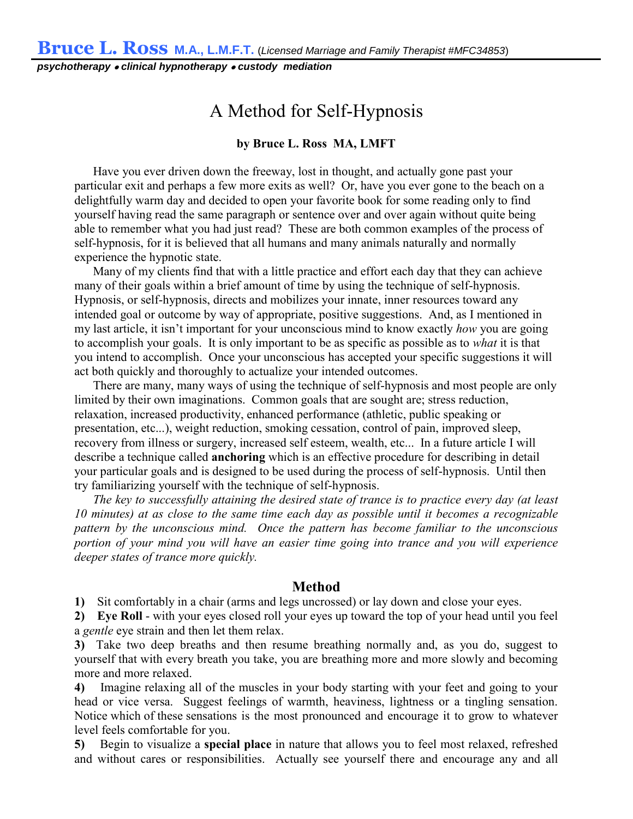*psychotherapy* • *clinical hypnotherapy* • *custody mediation*

## **A Method for Self-Hypnosis**

## by Bruce L. Ross MA, LMFT

**Have you ever driven down the freeway, lost in thought, and actually gone past your particular exit and perhaps a few more exits as well? Or, have you ever gone to the beach on a delightfully warm day and decided to open your favorite book for some reading only to find yourself having read the same paragraph or sentence over and over again without quite being able to remember what you had just read? These are both common examples of the process of self-hypnosis, for it is believed that all humans and many animals naturally and normally experience the hypnotic state.**

**Many of my clients find that with a little practice and effort each day that they can achieve many of their goals within a brief amount of time by using the technique of self-hypnosis. Hypnosis, or self-hypnosis, directs and mobilizes your innate, inner resources toward any intended goal or outcome by way of appropriate, positive suggestions. And, as I mentioned in my last article, it isn't important for your unconscious mind to know exactly** *how* **you are going to accomplish your goals. It is only important to be as specific as possible as to** *what* **it is that you intend to accomplish. Once your unconscious has accepted your specific suggestions it will act both quickly and thoroughly to actualize your intended outcomes.**

**There are many, many ways of using the technique of self-hypnosis and most people are only limited by their own imaginations. Common goals that are sought are; stress reduction, relaxation, increased productivity, enhanced performance (athletic, public speaking or presentation, etc...), weight reduction, smoking cessation, control of pain, improved sleep, recovery from illness or surgery, increased self esteem, wealth, etc... In a future article I will describe a technique called** anchoring **which is an effective procedure for describing in detail your particular goals and is designed to be used during the process of self-hypnosis. Until then try familiarizing yourself with the technique of self-hypnosis.** 

*The key to successfully attaining the desired state of trance is to practice every day (at least 10 minutes) at as close to the same time each day as possible until it becomes a recognizable pattern by the unconscious mind. Once the pattern has become familiar to the unconscious portion of your mind you will have an easier time going into trance and you will experience deeper states of trance more quickly.*

## Method

1) **Sit comfortably in a chair (arms and legs uncrossed) or lay down and close your eyes.**

2)Eye Roll **- with your eyes closed roll your eyes up toward the top of your head until you feel a** *gentle* **eye strain and then let them relax.**

3) **Take two deep breaths and then resume breathing normally and, as you do, suggest to yourself that with every breath you take, you are breathing more and more slowly and becoming more and more relaxed.**

4) **Imagine relaxing all of the muscles in your body starting with your feet and going to your head or vice versa. Suggest feelings of warmth, heaviness, lightness or a tingling sensation. Notice which of these sensations is the most pronounced and encourage it to grow to whatever level feels comfortable for you.**

5) **Begin to visualize a** special place **in nature that allows you to feel most relaxed, refreshed and without cares or responsibilities. Actually see yourself there and encourage any and all**